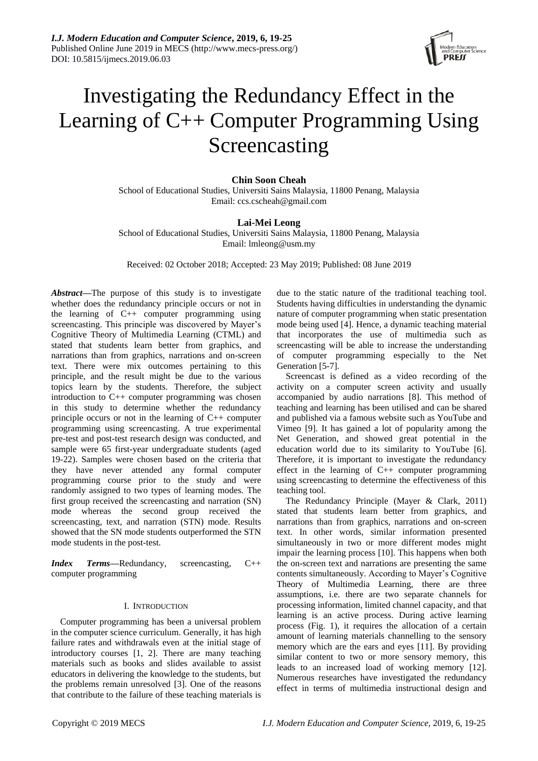

# Investigating the Redundancy Effect in the Learning of C++ Computer Programming Using Screencasting

# **Chin Soon Cheah**

School of Educational Studies, Universiti Sains Malaysia, 11800 Penang, Malaysia Email: ccs.cscheah@gmail.com

## **Lai-Mei Leong**

School of Educational Studies, Universiti Sains Malaysia, 11800 Penang, Malaysia Email: lmleong@usm.my

Received: 02 October 2018; Accepted: 23 May 2019; Published: 08 June 2019

*Abstract***—**The purpose of this study is to investigate whether does the redundancy principle occurs or not in the learning of C++ computer programming using screencasting. This principle was discovered by Mayer's Cognitive Theory of Multimedia Learning (CTML) and stated that students learn better from graphics, and narrations than from graphics, narrations and on-screen text. There were mix outcomes pertaining to this principle, and the result might be due to the various topics learn by the students. Therefore, the subject introduction to C++ computer programming was chosen in this study to determine whether the redundancy principle occurs or not in the learning of C++ computer programming using screencasting. A true experimental pre-test and post-test research design was conducted, and sample were 65 first-year undergraduate students (aged 19-22). Samples were chosen based on the criteria that they have never attended any formal computer programming course prior to the study and were randomly assigned to two types of learning modes. The first group received the screencasting and narration (SN) mode whereas the second group received the screencasting, text, and narration (STN) mode. Results showed that the SN mode students outperformed the STN mode students in the post-test.

*Index Terms***—**Redundancy, screencasting, C++ computer programming

## I. INTRODUCTION

Computer programming has been a universal problem in the computer science curriculum. Generally, it has high failure rates and withdrawals even at the initial stage of introductory courses [1, 2]. There are many teaching materials such as books and slides available to assist educators in delivering the knowledge to the students, but the problems remain unresolved [3]. One of the reasons that contribute to the failure of these teaching materials is

due to the static nature of the traditional teaching tool. Students having difficulties in understanding the dynamic nature of computer programming when static presentation mode being used [4]. Hence, a dynamic teaching material that incorporates the use of multimedia such as screencasting will be able to increase the understanding of computer programming especially to the Net Generation [5-7].

Screencast is defined as a video recording of the activity on a computer screen activity and usually accompanied by audio narrations [8]. This method of teaching and learning has been utilised and can be shared and published via a famous website such as YouTube and Vimeo [9]. It has gained a lot of popularity among the Net Generation, and showed great potential in the education world due to its similarity to YouTube [6]. Therefore, it is important to investigate the redundancy effect in the learning of C++ computer programming using screencasting to determine the effectiveness of this teaching tool.

The Redundancy Principle (Mayer & Clark, 2011) stated that students learn better from graphics, and narrations than from graphics, narrations and on-screen text. In other words, similar information presented simultaneously in two or more different modes might impair the learning process [10]. This happens when both the on-screen text and narrations are presenting the same contents simultaneously. According to Mayer's Cognitive Theory of Multimedia Learning, there are three assumptions, i.e. there are two separate channels for processing information, limited channel capacity, and that learning is an active process. During active learning process (Fig. 1), it requires the allocation of a certain amount of learning materials channelling to the sensory memory which are the ears and eyes [11]. By providing similar content to two or more sensory memory, this leads to an increased load of working memory [12]. Numerous researches have investigated the redundancy effect in terms of multimedia instructional design and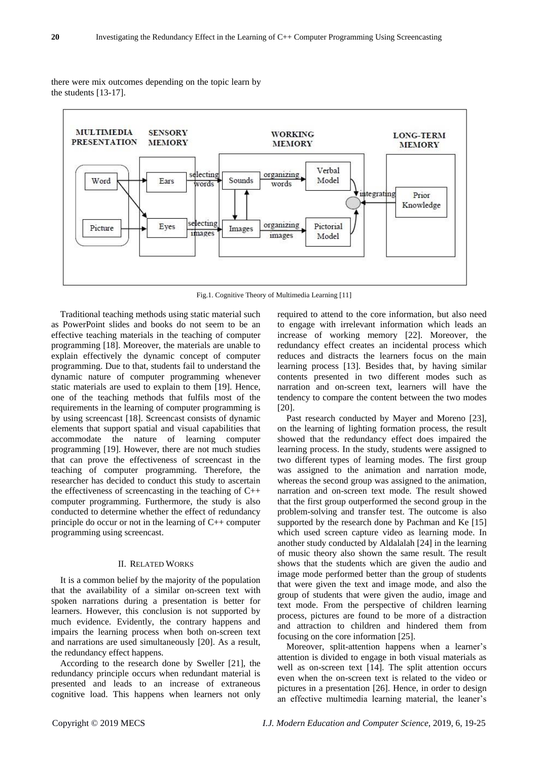

there were mix outcomes depending on the topic learn by the students [13-17].

Fig.1. Cognitive Theory of Multimedia Learning [11]

Traditional teaching methods using static material such as PowerPoint slides and books do not seem to be an effective teaching materials in the teaching of computer programming [18]. Moreover, the materials are unable to explain effectively the dynamic concept of computer programming. Due to that, students fail to understand the dynamic nature of computer programming whenever static materials are used to explain to them [19]. Hence, one of the teaching methods that fulfils most of the requirements in the learning of computer programming is by using screencast [18]. Screencast consists of dynamic elements that support spatial and visual capabilities that accommodate the nature of learning computer programming [19]. However, there are not much studies that can prove the effectiveness of screencast in the teaching of computer programming. Therefore, the researcher has decided to conduct this study to ascertain the effectiveness of screencasting in the teaching of C++ computer programming. Furthermore, the study is also conducted to determine whether the effect of redundancy principle do occur or not in the learning of C++ computer programming using screencast.

#### II. RELATED WORKS

It is a common belief by the majority of the population that the availability of a similar on-screen text with spoken narrations during a presentation is better for learners. However, this conclusion is not supported by much evidence. Evidently, the contrary happens and impairs the learning process when both on-screen text and narrations are used simultaneously [20]. As a result, the redundancy effect happens.

According to the research done by Sweller [21], the redundancy principle occurs when redundant material is presented and leads to an increase of extraneous cognitive load. This happens when learners not only

required to attend to the core information, but also need to engage with irrelevant information which leads an increase of working memory [22]. Moreover, the redundancy effect creates an incidental process which reduces and distracts the learners focus on the main learning process [13]. Besides that, by having similar contents presented in two different modes such as narration and on-screen text, learners will have the tendency to compare the content between the two modes [20].

Past research conducted by Mayer and Moreno [23], on the learning of lighting formation process, the result showed that the redundancy effect does impaired the learning process. In the study, students were assigned to two different types of learning modes. The first group was assigned to the animation and narration mode, whereas the second group was assigned to the animation, narration and on-screen text mode. The result showed that the first group outperformed the second group in the problem-solving and transfer test. The outcome is also supported by the research done by Pachman and Ke [15] which used screen capture video as learning mode. In another study conducted by Aldalalah [24] in the learning of music theory also shown the same result. The result shows that the students which are given the audio and image mode performed better than the group of students that were given the text and image mode, and also the group of students that were given the audio, image and text mode. From the perspective of children learning process, pictures are found to be more of a distraction and attraction to children and hindered them from focusing on the core information [25].

Moreover, split-attention happens when a learner's attention is divided to engage in both visual materials as well as on-screen text [14]. The split attention occurs even when the on-screen text is related to the video or pictures in a presentation [26]. Hence, in order to design an effective multimedia learning material, the leaner's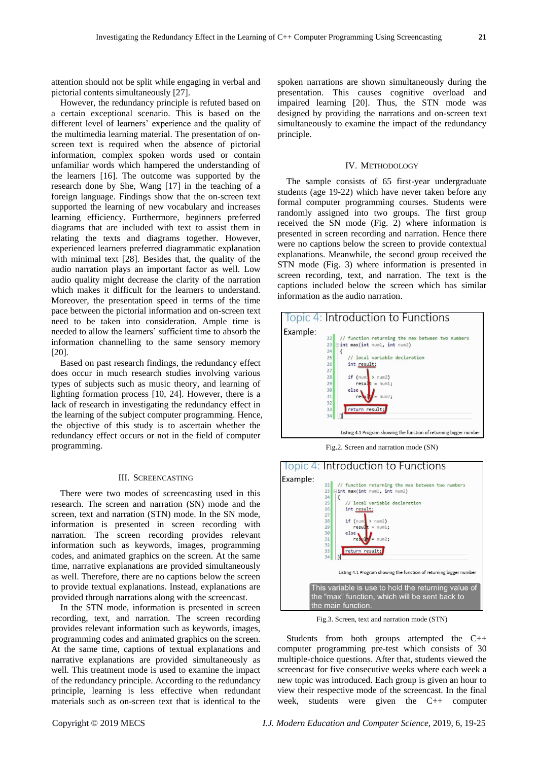attention should not be split while engaging in verbal and pictorial contents simultaneously [27].

However, the redundancy principle is refuted based on a certain exceptional scenario. This is based on the different level of learners' experience and the quality of the multimedia learning material. The presentation of onscreen text is required when the absence of pictorial information, complex spoken words used or contain unfamiliar words which hampered the understanding of the learners [16]. The outcome was supported by the research done by She, Wang [17] in the teaching of a foreign language. Findings show that the on-screen text supported the learning of new vocabulary and increases learning efficiency. Furthermore, beginners preferred diagrams that are included with text to assist them in relating the texts and diagrams together. However, experienced learners preferred diagrammatic explanation with minimal text [28]. Besides that, the quality of the audio narration plays an important factor as well. Low audio quality might decrease the clarity of the narration which makes it difficult for the learners to understand. Moreover, the presentation speed in terms of the time pace between the pictorial information and on-screen text need to be taken into consideration. Ample time is needed to allow the learners' sufficient time to absorb the information channelling to the same sensory memory [20].

Based on past research findings, the redundancy effect does occur in much research studies involving various types of subjects such as music theory, and learning of lighting formation process [10, 24]. However, there is a lack of research in investigating the redundancy effect in the learning of the subject computer programming. Hence, the objective of this study is to ascertain whether the redundancy effect occurs or not in the field of computer programming.

#### III. SCREENCASTING

There were two modes of screencasting used in this research. The screen and narration (SN) mode and the screen, text and narration (STN) mode. In the SN mode, information is presented in screen recording with narration. The screen recording provides relevant information such as keywords, images, programming codes, and animated graphics on the screen. At the same time, narrative explanations are provided simultaneously as well. Therefore, there are no captions below the screen to provide textual explanations. Instead, explanations are provided through narrations along with the screencast.

In the STN mode, information is presented in screen recording, text, and narration. The screen recording provides relevant information such as keywords, images, programming codes and animated graphics on the screen. At the same time, captions of textual explanations and narrative explanations are provided simultaneously as well. This treatment mode is used to examine the impact of the redundancy principle. According to the redundancy principle, learning is less effective when redundant materials such as on-screen text that is identical to the

spoken narrations are shown simultaneously during the presentation. This causes cognitive overload and impaired learning [20]. Thus, the STN mode was designed by providing the narrations and on-screen text simultaneously to examine the impact of the redundancy principle.

#### IV. METHODOLOGY

The sample consists of 65 first-year undergraduate students (age 19-22) which have never taken before any formal computer programming courses. Students were randomly assigned into two groups. The first group received the SN mode (Fig. 2) where information is presented in screen recording and narration. Hence there were no captions below the screen to provide contextual explanations. Meanwhile, the second group received the STN mode (Fig. 3) where information is presented in screen recording, text, and narration. The text is the captions included below the screen which has similar information as the audio narration.



Fig.2. Screen and narration mode (SN)



Fig.3. Screen, text and narration mode (STN)

Students from both groups attempted the C++ computer programming pre-test which consists of 30 multiple-choice questions. After that, students viewed the screencast for five consecutive weeks where each week a new topic was introduced. Each group is given an hour to view their respective mode of the screencast. In the final week, students were given the C++ computer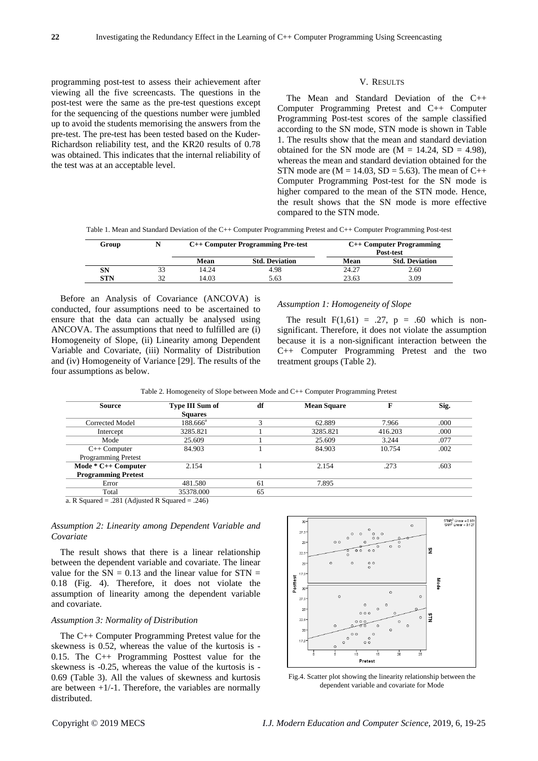programming post-test to assess their achievement after viewing all the five screencasts. The questions in the post-test were the same as the pre-test questions except for the sequencing of the questions number were jumbled up to avoid the students memorising the answers from the pre-test. The pre-test has been tested based on the Kuder-Richardson reliability test, and the KR20 results of 0.78 was obtained. This indicates that the internal reliability of the test was at an acceptable level.

## V. RESULTS

The Mean and Standard Deviation of the C++ Computer Programming Pretest and C++ Computer Programming Post-test scores of the sample classified according to the SN mode, STN mode is shown in Table 1. The results show that the mean and standard deviation obtained for the SN mode are  $(M = 14.24, SD = 4.98)$ . whereas the mean and standard deviation obtained for the STN mode are  $(M = 14.03, SD = 5.63)$ . The mean of C++ Computer Programming Post-test for the SN mode is higher compared to the mean of the STN mode. Hence, the result shows that the SN mode is more effective compared to the STN mode.

Table 1. Mean and Standard Deviation of the C++ Computer Programming Pretest and C++ Computer Programming Post-test

| Group | N  | C++ Computer Programming Pre-test |                       |       | $C++$ Computer Programming<br>Post-test |
|-------|----|-----------------------------------|-----------------------|-------|-----------------------------------------|
|       |    | Mean                              | <b>Std. Deviation</b> | Mean  | <b>Std. Deviation</b>                   |
| SN    |    | 14.24                             | 4.98                  | 24.27 | 2.60                                    |
| STN   | 30 | 14.03                             | 5.63                  | 23.63 | 3.09                                    |

Before an Analysis of Covariance (ANCOVA) is conducted, four assumptions need to be ascertained to ensure that the data can actually be analysed using ANCOVA. The assumptions that need to fulfilled are (i) Homogeneity of Slope, (ii) Linearity among Dependent Variable and Covariate, (iii) Normality of Distribution and (iv) Homogeneity of Variance [29]. The results of the four assumptions as below.

#### *Assumption 1: Homogeneity of Slope*

The result  $F(1,61) = .27$ ,  $p = .60$  which is nonsignificant. Therefore, it does not violate the assumption because it is a non-significant interaction between the C++ Computer Programming Pretest and the two treatment groups (Table 2).

|  | Table 2. Homogeneity of Slope between Mode and C++ Computer Programming Pretest |
|--|---------------------------------------------------------------------------------|
|  |                                                                                 |

| <b>Source</b>              | Type III Sum of<br><b>Squares</b> | df | <b>Mean Square</b> | F       | Sig. |
|----------------------------|-----------------------------------|----|--------------------|---------|------|
| Corrected Model            | $188.666^{\circ}$                 |    | 62.889             | 7.966   | .000 |
| Intercept                  | 3285.821                          |    | 3285.821           | 416.203 | .000 |
| Mode                       | 25.609                            |    | 25.609             | 3.244   | .077 |
| $C++ Computer$             | 84.903                            |    | 84.903             | 10.754  | .002 |
| <b>Programming Pretest</b> |                                   |    |                    |         |      |
| Mode * C++ Computer        | 2.154                             |    | 2.154              | .273    | .603 |
| <b>Programming Pretest</b> |                                   |    |                    |         |      |
| Error                      | 481.580                           | 61 | 7.895              |         |      |
| Total                      | 35378.000                         | 65 |                    |         |      |

a. R Squared = .281 (Adjusted R Squared = .246)

*Assumption 2: Linearity among Dependent Variable and Covariate*

The result shows that there is a linear relationship between the dependent variable and covariate. The linear value for the  $SN = 0.13$  and the linear value for  $STN =$ 0.18 (Fig. 4). Therefore, it does not violate the assumption of linearity among the dependent variable and covariate.

## *Assumption 3: Normality of Distribution*

The C++ Computer Programming Pretest value for the skewness is 0.52, whereas the value of the kurtosis is - 0.15. The C++ Programming Posttest value for the skewness is -0.25, whereas the value of the kurtosis is - 0.69 (Table 3). All the values of skewness and kurtosis are between  $+1/-1$ . Therefore, the variables are normally distributed.



Fig.4. Scatter plot showing the linearity relationship between the dependent variable and covariate for Mode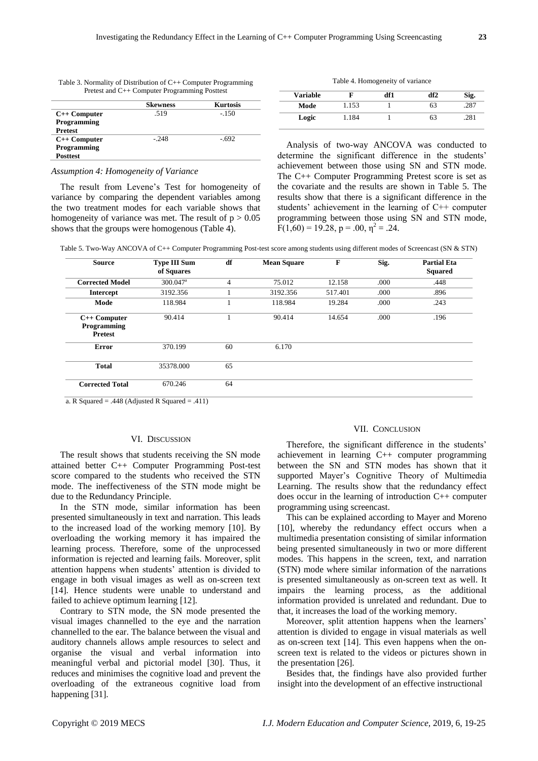| I |
|---|
| I |

|                 | <b>Skewness</b> | <b>Kurtosis</b> |
|-----------------|-----------------|-----------------|
| $C++ Computer$  | .519            | $-150$          |
| Programming     |                 |                 |
| <b>Pretest</b>  |                 |                 |
| $C++ Computer$  | $-248$          | $-692$          |
| Programming     |                 |                 |
| <b>Posttest</b> |                 |                 |

Table 3. Normality of Distribution of C++ Computer Programming Pretest and C++ Computer Programming Posttest

## *Assumption 4: Homogeneity of Variance*

The result from Levene's Test for homogeneity of variance by comparing the dependent variables among the two treatment modes for each variable shows that homogeneity of variance was met. The result of  $p > 0.05$ shows that the groups were homogenous (Table 4).

|                |   | Table 4. Homogeneity of variance |            |
|----------------|---|----------------------------------|------------|
| $\blacksquare$ | ы | - 101                            | <b>109</b> |

| df2                   | Sig. |
|-----------------------|------|
| 63                    | .287 |
| 63                    | .281 |
| df1<br>1.153<br>1.184 |      |

Analysis of two-way ANCOVA was conducted to determine the significant difference in the students' achievement between those using SN and STN mode. The C++ Computer Programming Pretest score is set as the covariate and the results are shown in Table 5. The results show that there is a significant difference in the students' achievement in the learning of C++ computer programming between those using SN and STN mode,  $F(1,60) = 19.28, p = .00, \eta^2 = .24.$ 

Table 5. Two-Way ANCOVA of C++ Computer Programming Post-test score among students using different modes of Screencast (SN & STN)

| <b>Source</b>                                   | <b>Type III Sum</b><br>of Squares | df             | <b>Mean Square</b> | F       | Sig. | <b>Partial Eta</b><br><b>Squared</b> |
|-------------------------------------------------|-----------------------------------|----------------|--------------------|---------|------|--------------------------------------|
| <b>Corrected Model</b>                          | $300.047$ <sup>a</sup>            | $\overline{4}$ | 75.012             | 12.158  | .000 | .448                                 |
| <b>Intercept</b>                                | 3192.356                          |                | 3192.356           | 517.401 | .000 | .896                                 |
| Mode                                            | 118.984                           |                | 118.984            | 19.284  | .000 | .243                                 |
| $C++ Computer$<br>Programming<br><b>Pretest</b> | 90.414                            |                | 90.414             | 14.654  | .000 | .196                                 |
| Error                                           | 370.199                           | 60             | 6.170              |         |      |                                      |
| <b>Total</b>                                    | 35378.000                         | 65             |                    |         |      |                                      |
| <b>Corrected Total</b>                          | 670.246                           | 64             |                    |         |      |                                      |

a. R Squared = .448 (Adjusted R Squared = .411)

## VI. DISCUSSION

The result shows that students receiving the SN mode attained better C++ Computer Programming Post-test score compared to the students who received the STN mode. The ineffectiveness of the STN mode might be due to the Redundancy Principle.

In the STN mode, similar information has been presented simultaneously in text and narration. This leads to the increased load of the working memory [10]. By overloading the working memory it has impaired the learning process. Therefore, some of the unprocessed information is rejected and learning fails. Moreover, split attention happens when students' attention is divided to engage in both visual images as well as on-screen text [14]. Hence students were unable to understand and failed to achieve optimum learning [12].

Contrary to STN mode, the SN mode presented the visual images channelled to the eye and the narration channelled to the ear. The balance between the visual and auditory channels allows ample resources to select and organise the visual and verbal information into meaningful verbal and pictorial model [30]. Thus, it reduces and minimises the cognitive load and prevent the overloading of the extraneous cognitive load from happening [31].

#### VII. CONCLUSION

Therefore, the significant difference in the students' achievement in learning C++ computer programming between the SN and STN modes has shown that it supported Mayer's Cognitive Theory of Multimedia Learning. The results show that the redundancy effect does occur in the learning of introduction C++ computer programming using screencast.

This can be explained according to Mayer and Moreno [10], whereby the redundancy effect occurs when a multimedia presentation consisting of similar information being presented simultaneously in two or more different modes. This happens in the screen, text, and narration (STN) mode where similar information of the narrations is presented simultaneously as on-screen text as well. It impairs the learning process, as the additional information provided is unrelated and redundant. Due to that, it increases the load of the working memory.

Moreover, split attention happens when the learners' attention is divided to engage in visual materials as well as on-screen text [14]. This even happens when the onscreen text is related to the videos or pictures shown in the presentation [26].

Besides that, the findings have also provided further insight into the development of an effective instructional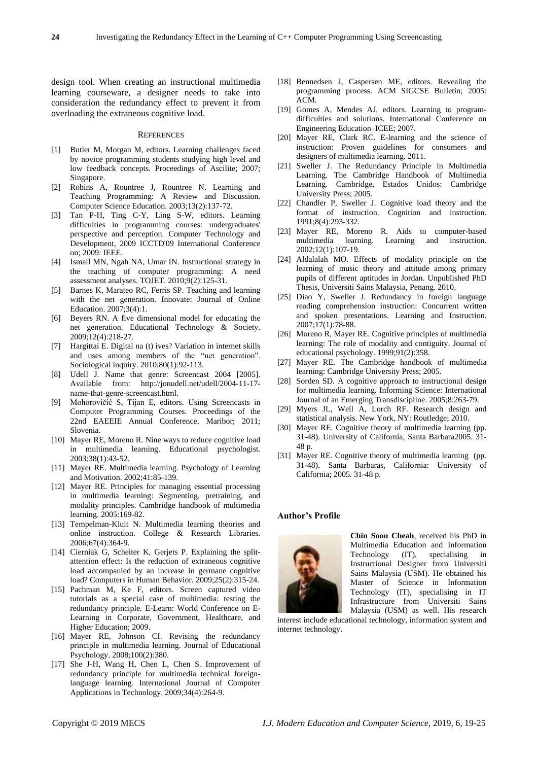design tool. When creating an instructional multimedia learning courseware, a designer needs to take into consideration the redundancy effect to prevent it from overloading the extraneous cognitive load.

#### **REFERENCES**

- [1] Butler M, Morgan M, editors. Learning challenges faced by novice programming students studying high level and low feedback concepts. Proceedings of Ascilite; 2007; Singapore.
- [2] Robins A, Rountree J, Rountree N. Learning and Teaching Programming: A Review and Discussion. Computer Science Education. 2003;13(2):137-72.
- [3] Tan P-H, Ting C-Y, Ling S-W, editors. Learning difficulties in programming courses: undergraduates' perspective and perception. Computer Technology and Development, 2009 ICCTD'09 International Conference on; 2009: IEEE.
- [4] Ismail MN, Ngah NA, Umar IN. Instructional strategy in the teaching of computer programming: A need assessment analyses. TOJET. 2010;9(2):125-31.
- [5] Barnes K, Marateo RC, Ferris SP. Teaching and learning with the net generation. Innovate: Journal of Online Education. 2007;3(4):1.
- [6] Beyers RN. A five dimensional model for educating the net generation. Educational Technology & Society. 2009;12(4):218-27.
- [7] Hargittai E. Digital na (t) ives? Variation in internet skills and uses among members of the "net generation". Sociological inquiry. 2010;80(1):92-113.
- [8] Udell J. Name that genre: Screencast 2004 [2005]. Available from: http://jonudell.net/udell/2004-11-17 name-that-genre-screencast.html.
- [9] Mohorovičić S, Tijan E, editors. Using Screencasts in Computer Programming Courses. Proceedings of the 22nd EAEEIE Annual Conference, Maribor; 2011; Slovenia.
- [10] Mayer RE, Moreno R. Nine ways to reduce cognitive load in multimedia learning. Educational psychologist. 2003;38(1):43-52.
- [11] Mayer RE. Multimedia learning. Psychology of Learning and Motivation. 2002;41:85-139.
- [12] Mayer RE. Principles for managing essential processing in multimedia learning: Segmenting, pretraining, and modality principles. Cambridge handbook of multimedia learning. 2005:169-82.
- [13] Tempelman-Kluit N. Multimedia learning theories and online instruction. College & Research Libraries. 2006;67(4):364-9.
- [14] Cierniak G, Scheiter K, Gerjets P. Explaining the splitattention effect: Is the reduction of extraneous cognitive load accompanied by an increase in germane cognitive load? Computers in Human Behavior. 2009;25(2):315-24.
- [15] Pachman M, Ke F, editors. Screen captured video tutorials as a special case of multimedia: testing the redundancy principle. E-Learn: World Conference on E-Learning in Corporate, Government, Healthcare, and Higher Education; 2009.
- [16] Mayer RE, Johnson CI. Revising the redundancy principle in multimedia learning. Journal of Educational Psychology. 2008;100(2):380.
- [17] She J-H, Wang H, Chen L, Chen S. Improvement of redundancy principle for multimedia technical foreignlanguage learning. International Journal of Computer Applications in Technology. 2009;34(4):264-9.
- [18] Bennedsen J, Caspersen ME, editors. Revealing the programming process. ACM SIGCSE Bulletin; 2005: ACM.
- [19] Gomes A, Mendes AJ, editors. Learning to programdifficulties and solutions. International Conference on Engineering Education–ICEE; 2007.
- [20] Mayer RE, Clark RC. E-learning and the science of instruction: Proven guidelines for consumers and designers of multimedia learning. 2011.
- [21] Sweller J. The Redundancy Principle in Multimedia Learning. The Cambridge Handbook of Multimedia Learning. Cambridge, Estados Unidos: Cambridge University Press; 2005.
- [22] Chandler P, Sweller J. Cognitive load theory and the format of instruction. Cognition and instruction. 1991;8(4):293-332.
- [23] Mayer RE, Moreno R. Aids to computer-based multimedia learning. Learning and instruction. 2002;12(1):107-19.
- [24] Aldalalah MO. Effects of modality principle on the learning of music theory and attitude among primary pupils of different aptitudes in Jordan. Unpublished PhD Thesis, Universiti Sains Malaysia, Penang. 2010.
- [25] Diao Y, Sweller J. Redundancy in foreign language reading comprehension instruction: Concurrent written and spoken presentations. Learning and Instruction. 2007;17(1):78-88.
- [26] Moreno R, Mayer RE. Cognitive principles of multimedia learning: The role of modality and contiguity. Journal of educational psychology. 1999;91(2):358.
- [27] Mayer RE. The Cambridge handbook of multimedia learning: Cambridge University Press; 2005.
- [28] Sorden SD. A cognitive approach to instructional design for multimedia learning. Informing Science: International Journal of an Emerging Transdiscipline. 2005;8:263-79.
- [29] Myers JL, Well A, Lorch RF. Research design and statistical analysis. New York, NY: Routledge; 2010.
- [30] Mayer RE. Cognitive theory of multimedia learning (pp. 31-48). University of California, Santa Barbara2005. 31- 48 p.
- [31] Mayer RE. Cognitive theory of multimedia learning (pp. 31-48). Santa Barbaras, California: University of California; 2005. 31-48 p.

#### **Author's Profile**



**Chin Soon Cheah**, received his PhD in Multimedia Education and Information Technology (IT), specialising in Instructional Designer from Universiti Sains Malaysia (USM). He obtained his Master of Science in Information Technology (IT), specialising in IT Infrastructure from Universiti Sains Malaysia (USM) as well. His research

interest include educational technology, information system and internet technology.